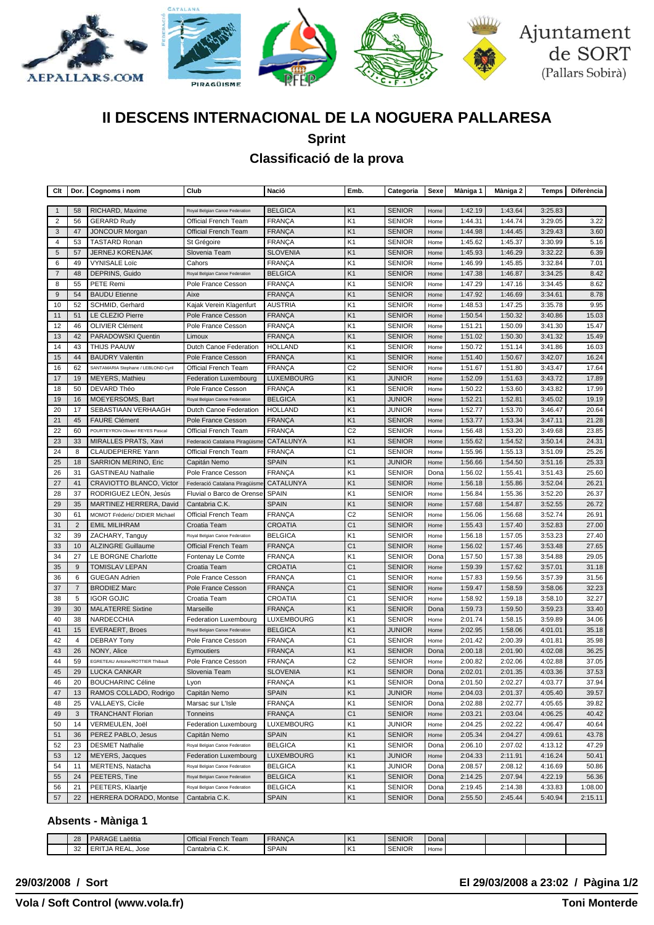

# **II DESCENS INTERNACIONAL DE LA NOGUERA PALLARESA**

**Sprint**

## **Classificació de la prova**

| Clt              | Dor.           | Cognoms i nom                       | Club                           | Nació             | Emb.           | Categoria     | Sexe | Màniga 1 | Màniga 2           | Temps   | Diferència |
|------------------|----------------|-------------------------------------|--------------------------------|-------------------|----------------|---------------|------|----------|--------------------|---------|------------|
| $\mathbf{1}$     | 58             | RICHARD, Maxime                     | Royal Belgian Canoe Federation | <b>BELGICA</b>    | K <sub>1</sub> | <b>SENIOR</b> | Home | 1:42.19  | 1:43.64            | 3:25.83 |            |
| $\overline{2}$   | 56             | <b>GERARD Rudy</b>                  | Official French Team           | <b>FRANCA</b>     | K <sub>1</sub> | <b>SENIOR</b> | Home | 1:44.31  | 1:44.74            | 3:29.05 | 3.22       |
| 3                | 47             | <b>JONCOUR Morgan</b>               | Official French Team           | <b>FRANÇA</b>     | K1             | <b>SENIOR</b> | Home | 1:44.98  | 1:44.45            | 3:29.43 | 3.60       |
| 4                | 53             | <b>TASTARD Ronan</b>                | St Grégoire                    | <b>FRANÇA</b>     | K <sub>1</sub> | SENIOR        | Home | 1:45.62  | 1:45.37            | 3:30.99 | 5.16       |
| 5                | 57             | <b>JERNEJ KORENJAK</b>              | Slovenia Team                  | <b>SLOVENIA</b>   | K <sub>1</sub> | <b>SENIOR</b> | Home | 1:45.93  | 1:46.29            | 3:32.22 | 6.39       |
| 6                | 49             | <b>VYNISALE Loïc</b>                | Cahors                         | <b>FRANÇA</b>     | K <sub>1</sub> | <b>SENIOR</b> | Home | 1:46.99  | 1:45.85            | 3:32.84 | 7.01       |
| $\overline{7}$   | 48             | DEPRINS, Guido                      | Royal Belgian Canoe Federation | <b>BELGICA</b>    | K <sub>1</sub> | <b>SENIOR</b> | Home | 1:47.38  | 1:46.87            | 3:34.25 | 8.42       |
| 8                | 55             | PETE Remi                           | Pole France Cesson             | <b>FRANÇA</b>     | K <sub>1</sub> | <b>SENIOR</b> | Home | 1:47.29  | 1:47.16            | 3:34.45 | 8.62       |
| $\boldsymbol{9}$ | 54             | <b>BAUDU Etienne</b>                | Aixe                           | <b>FRANÇA</b>     | K <sub>1</sub> | <b>SENIOR</b> | Home | 1:47.92  | 1:46.69            | 3:34.61 | 8.78       |
| 10               | 52             | SCHMID, Gerhard                     | Kajak Verein Klagenfurt        | <b>AUSTRIA</b>    | K <sub>1</sub> | <b>SENIOR</b> | Home | 1:48.53  | 1:47.25            | 3:35.78 | 9.95       |
| 11               | 51             | LE CLEZIO Pierre                    | Pole France Cesson             | <b>FRANCA</b>     | K <sub>1</sub> | <b>SENIOR</b> | Home | 1:50.54  | 1:50.32            | 3:40.86 | 15.03      |
| 12               | 46             | <b>OLIVIER Clément</b>              | Pole France Cesson             | <b>FRANÇA</b>     | K <sub>1</sub> | <b>SENIOR</b> | Home | 1:51.21  | 1:50.09            | 3:41.30 | 15.47      |
| 13               | 42             | PARADOWSKI Quentin                  | Limoux                         | <b>FRANÇA</b>     | K1             | <b>SENIOR</b> | Home | 1:51.02  | 1:50.30            | 3:41.32 | 15.49      |
| 14               | 43             | THIJS PAAUW                         | Dutch Canoe Federation         | <b>HOLLAND</b>    | K <sub>1</sub> | <b>SENIOR</b> | Home | 1:50.72  | 1:51.14            | 3:41.86 | 16.03      |
| 15               | 44             | <b>BAUDRY Valentin</b>              | Pole France Cesson             | <b>FRANÇA</b>     | K <sub>1</sub> | SENIOR        | Home | 1:51.40  | 1:50.67            | 3:42.07 | 16.24      |
| 16               | 62             | SANTAMARIA Stephane / LEBLOND Cyril | Official French Team           | <b>FRANÇA</b>     | C <sub>2</sub> | <b>SENIOR</b> | Home | 1:51.67  | 1:51.80            | 3:43.47 | 17.64      |
| 17               | 19             | MEYERS, Mathieu                     | <b>Federation Luxembourg</b>   | <b>LUXEMBOURG</b> | K <sub>1</sub> | <b>JUNIOR</b> | Home | 1:52.09  | 1:51.63            | 3:43.72 | 17.89      |
| 18               | 50             | DEVARD Théo                         | Pole France Cesson             | <b>FRANÇA</b>     | K <sub>1</sub> | <b>SENIOR</b> | Home | 1:50.22  | 1:53.60            | 3:43.82 | 17.99      |
| 19               | 16             | MOEYERSOMS, Bart                    | Royal Belgian Canoe Federation | <b>BELGICA</b>    | K <sub>1</sub> | <b>JUNIOR</b> | Home | 1:52.21  | 1:52.81            | 3:45.02 | 19.19      |
| 20               | 17             | SEBASTIAAN VERHAAGH                 | Dutch Canoe Federation         | <b>HOLLAND</b>    | K <sub>1</sub> | JUNIOR        | Home | 1:52.77  | 1:53.70            | 3:46.47 | 20.64      |
| 21               | 45             | <b>FAURE Clément</b>                | Pole France Cesson             | <b>FRANÇA</b>     | K <sub>1</sub> | <b>SENIOR</b> | Home | 1:53.77  | 1:53.34            | 3:47.11 | 21.28      |
| 22               | 60             | POURTEYRON Olivier/ REYES Pascal    | Official French Team           | <b>FRANCA</b>     | C <sub>2</sub> | <b>SENIOR</b> | Home | 1:56.48  | 1:53.20            | 3:49.68 | 23.85      |
| 23               | 33             | MIRALLES PRATS, Xavi                | Federació Catalana Piragüisme  | CATALUNYA         | K <sub>1</sub> | <b>SENIOR</b> | Home | 1:55.62  | 1:54.52            | 3:50.14 | 24.31      |
| 24               | 8              | <b>CLAUDEPIERRE Yann</b>            | Official French Team           | <b>FRANCA</b>     | C <sub>1</sub> | <b>SENIOR</b> | Home | 1:55.96  | 1:55.13            | 3:51.09 | 25.26      |
| 25               | 18             | <b>SARRION MERINO, Eric</b>         | Capitán Nemo                   | <b>SPAIN</b>      | K1             | <b>JUNIOR</b> | Home | 1:56.66  | 1:54.50            | 3:51.16 | 25.33      |
| 26               | 31             | <b>GASTINEAU Nathalie</b>           | Pole France Cesson             | <b>FRANÇA</b>     | K <sub>1</sub> | <b>SENIOR</b> | Dona | 1:56.02  | 1:55.41            | 3:51.43 | 25.60      |
| 27               | 41             | CRAVIOTTO BLANCO, Victor            | Federació Catalana Piragüisme  | CATALUNYA         | K <sub>1</sub> | <b>SENIOR</b> | Home | 1:56.18  | 1:55.86            | 3:52.04 | 26.21      |
| 28               | 37             | RODRIGUEZ LEON, Jesús               | Fluvial o Barco de Orense      | <b>SPAIN</b>      | K <sub>1</sub> | <b>SENIOR</b> | Home | 1:56.84  | 1:55.36            | 3:52.20 | 26.37      |
| 29               | 35             | MARTINEZ HERRERA, David             | Cantabria C.K.                 | <b>SPAIN</b>      | K <sub>1</sub> | <b>SENIOR</b> | Home | 1:57.68  | 1:54.87            | 3:52.55 | 26.72      |
| 30               | 61             | MOMOT Fréderic/ DIDIER Michael      | Official French Team           | <b>FRANÇA</b>     | C <sub>2</sub> | <b>SENIOR</b> | Home | 1:56.06  | 1:56.68            | 3:52.74 | 26.91      |
| 31               | $\overline{2}$ | <b>EMIL MILIHRAM</b>                | Croatia Team                   | CROATIA           | C <sub>1</sub> | <b>SENIOR</b> | Home | 1:55.43  | 1:57.40            | 3:52.83 | 27.00      |
| 32               | 39             | ZACHARY, Tanguy                     | Royal Belgian Canoe Federation | <b>BELGICA</b>    | K <sub>1</sub> | <b>SENIOR</b> | Home | 1:56.18  | 1:57.05            | 3:53.23 | 27.40      |
| 33               | 10             | <b>ALZINGRE Guillaume</b>           | Official French Team           | <b>FRANÇA</b>     | C <sub>1</sub> | <b>SENIOR</b> | Home | 1:56.02  | 1:57.46            | 3:53.48 | 27.65      |
| 34               | 27             | LE BORGNE Charlotte                 | Fontenay Le Comte              | <b>FRANÇA</b>     | K <sub>1</sub> | <b>SENIOR</b> | Dona | 1:57.50  | 1:57.38            | 3:54.88 | 29.05      |
| 35               | 9              | <b>TOMISLAV LEPAN</b>               | Croatia Team                   | <b>CROATIA</b>    | C <sub>1</sub> | <b>SENIOR</b> | Home | 1:59.39  | 1:57.62            | 3:57.01 | 31.18      |
| 36               | 6              | <b>GUEGAN Adrien</b>                | Pole France Cesson             | <b>FRANÇA</b>     | C <sub>1</sub> | <b>SENIOR</b> | Home | 1:57.83  | 1:59.56            | 3:57.39 | 31.56      |
| 37               | $\overline{7}$ | <b>BRODIEZ Marc</b>                 | Pole France Cesson             | <b>FRANÇA</b>     | C <sub>1</sub> | <b>SENIOR</b> | Home | 1:59.47  | 1:58.59            | 3:58.06 | 32.23      |
| 38               | 5              | <b>IGOR GOJIC</b>                   | Croatia Team                   | CROATIA           | C <sub>1</sub> | <b>SENIOR</b> | Home | 1:58.92  | 1:59.18            | 3:58.10 | 32.27      |
| 39               | 30             | <b>MALATERRE Sixtine</b>            | Marseille                      | <b>FRANÇA</b>     | K <sub>1</sub> | <b>SENIOR</b> | Dona | 1:59.73  | 1:59.50            | 3:59.23 | 33.40      |
| 40               | 38             | NARDECCHIA                          | Federation Luxembourg          | LUXEMBOURG        | K <sub>1</sub> | <b>SENIOR</b> | Home | 2:01.74  | 1:58.15            | 3:59.89 | 34.06      |
| 41               | 15             | <b>EVERAERT, Broes</b>              | Royal Belgian Canoe Federation | <b>BELGICA</b>    | K <sub>1</sub> | <b>JUNIOR</b> | Home | 2:02.95  | 1:58.06            | 4:01.01 | 35.18      |
| 42               | 4              | <b>DEBRAY Tony</b>                  | Pole France Cesson             | <b>FRANÇA</b>     | C <sub>1</sub> | <b>SENIOR</b> | Home | 2:01.42  | 2:00.39            | 4:01.81 | 35.98      |
| 43               | 26             | NONY, Alice                         | Eymoutiers                     | <b>FRANÇA</b>     | K <sub>1</sub> | <b>SENIOR</b> | Dona | 2:00.18  | 2:01.90            | 4:02.08 | 36.25      |
| 44               | 59             | EGRETEAU Antoine/ROTTIER Thibault   | Pole France Cesson             | <b>FRANÇA</b>     | C <sub>2</sub> | SENIOR        | Home | 2:00.82  | 2:02.06            | 4:02.88 | 37.05      |
| 45               | 29             | <b>LUCKA CANKAR</b>                 | Slovenia Team                  | <b>SLOVENIA</b>   | K <sub>1</sub> | <b>SENIOR</b> | Dona | 2:02.01  | 2:01.35            | 4:03.36 | 37.53      |
| 46               | 20             | <b>BOUCHARINC Céline</b>            | Lyon                           | <b>FRANÇA</b>     | K <sub>1</sub> | SENIOR        | Dona | 2:01.50  | 2:02.27            | 4:03.77 | 37.94      |
| 47               | 13             | RAMOS COLLADO, Rodrigo              | Capitán Nemo                   | <b>SPAIN</b>      | K <sub>1</sub> | <b>JUNIOR</b> | Home | 2:04.03  | 2:01.37            | 4:05.40 | 39.57      |
| 48               | 25             | VALLAEYS, Cícile                    | Marsac sur L'Isle              | <b>FRANÇA</b>     | K <sub>1</sub> | <b>SENIOR</b> | Dona | 2:02.88  | 2:02.77            | 4:05.65 | 39.82      |
| 49               | 3              | <b>TRANCHANT Florian</b>            | Tonneins                       | <b>FRANÇA</b>     | C <sub>1</sub> | <b>SENIOR</b> | Home | 2:03.21  | 2:03.04            | 4:06.25 | 40.42      |
| 50               | 14             | VERMEULEN, Joël                     | Federation Luxembourg          | LUXEMBOURG        | K <sub>1</sub> | <b>JUNIOR</b> | Home | 2:04.25  | 2:02.22            | 4:06.47 | 40.64      |
| 51               | 36             | PEREZ PABLO, Jesus                  | Capitán Nemo                   | <b>SPAIN</b>      | K1             | <b>SENIOR</b> | Home | 2:05.34  | 2:04.27            | 4:09.61 | 43.78      |
| 52               | 23             | <b>DESMET Nathalie</b>              | Royal Belgian Canoe Federation | <b>BELGICA</b>    | K <sub>1</sub> | <b>SENIOR</b> | Dona | 2:06.10  | 2:07.02            | 4:13.12 | 47.29      |
| 53               | 12             | MEYERS, Jacques                     | <b>Federation Luxembourg</b>   | <b>LUXEMBOURG</b> | K <sub>1</sub> | <b>JUNIOR</b> | Home | 2:04.33  | 2:11.91            | 4:16.24 | 50.41      |
| 54               | 11             | MERTENS, Natacha                    | Royal Belgian Canoe Federation | <b>BELGICA</b>    | K1             | JUNIOR        | Dona | 2:08.57  | 2:08.12            | 4:16.69 | 50.86      |
| 55               | 24             | PEETERS, Tine                       | Royal Belgian Canoe Federation | <b>BELGICA</b>    | K1             | <b>SENIOR</b> | Dona | 2:14.25  | 2:07.94            | 4:22.19 | 56.36      |
|                  | 21             | PEETERS, Klaartje                   | Royal Belgian Canoe Federation | <b>BELGICA</b>    | K1             |               | Dona | 2:19.45  |                    | 4:33.83 | 1:08.00    |
| 56<br>57         | 22             | HERRERA DORADO, Montse              | Cantabria C.K.                 | <b>SPAIN</b>      | K1             | <b>SENIOR</b> | Dona |          | 2:14.38<br>2:45.44 | 5:40.94 |            |
|                  |                |                                     |                                |                   |                | <b>SENIOR</b> |      | 2:55.50  |                    |         | 2:15.11    |

### **Absents - Màniga 1**

| 28 | Laëtitia<br><b>I PARAGE!</b>           | Official French Team | <b>FRANCA</b> | ١ĸ  | <b>SENIOR</b> | Donal |  |  |
|----|----------------------------------------|----------------------|---------------|-----|---------------|-------|--|--|
| 32 | ER<br>DE 4<br>. Jose<br>I JA<br>` KEAL | Cantabria C.K.       | <b>SPAIN</b>  | IK: | <b>SENIOR</b> | Home  |  |  |

### **29/03/2008 / Sort El 29/03/2008 a 23:02 / Pàgina 1/2**